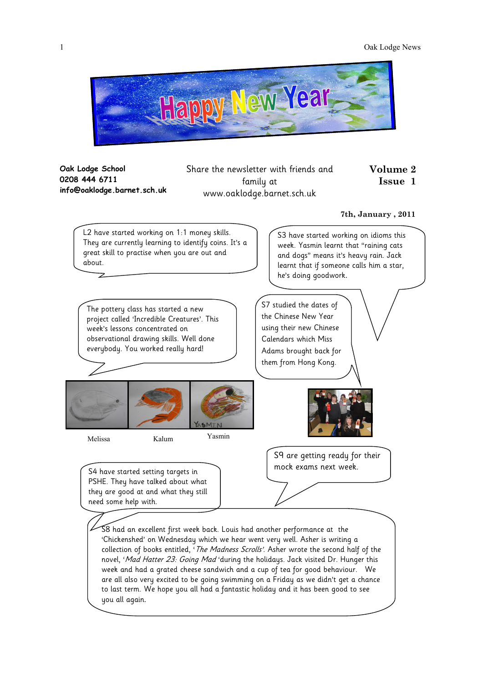

**Oak Lodge School 0208 444 6711 info@oaklodge.barnet.sch.uk** Share the newsletter with friends and family at www.oaklodge.barnet.sch.uk

#### **7th, January , 2011**

**Volume 2 Issue 1**